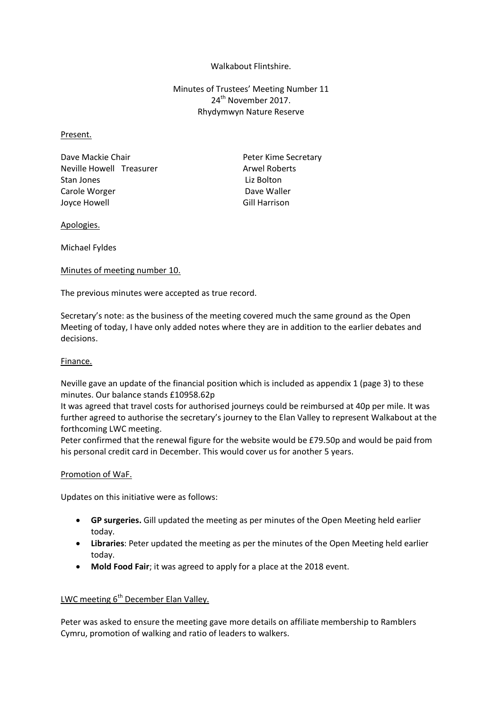### Walkabout Flintshire.

Minutes of Trustees' Meeting Number 11 24<sup>th</sup> November 2017. Rhydymwyn Nature Reserve

#### Present.

Dave Mackie Chair **Peter Kime Secretary** Neville Howell Treasurer Arwel Roberts Stan Jones **Liz Bolton** Carole Worger **Dave Waller** Dave Waller Joyce Howell **Gill Harrison** 

#### Apologies.

Michael Fyldes

#### Minutes of meeting number 10.

The previous minutes were accepted as true record.

Secretary's note: as the business of the meeting covered much the same ground as the Open Meeting of today, I have only added notes where they are in addition to the earlier debates and decisions.

## Finance.

Neville gave an update of the financial position which is included as appendix 1 (page 3) to these minutes. Our balance stands £10958.62p

It was agreed that travel costs for authorised journeys could be reimbursed at 40p per mile. It was further agreed to authorise the secretary's journey to the Elan Valley to represent Walkabout at the forthcoming LWC meeting.

Peter confirmed that the renewal figure for the website would be £79.50p and would be paid from his personal credit card in December. This would cover us for another 5 years.

### Promotion of WaF.

Updates on this initiative were as follows:

- **GP surgeries.** Gill updated the meeting as per minutes of the Open Meeting held earlier today.
- **Libraries**: Peter updated the meeting as per the minutes of the Open Meeting held earlier today.
- **Mold Food Fair**; it was agreed to apply for a place at the 2018 event.

# LWC meeting 6<sup>th</sup> December Elan Valley.

Peter was asked to ensure the meeting gave more details on affiliate membership to Ramblers Cymru, promotion of walking and ratio of leaders to walkers.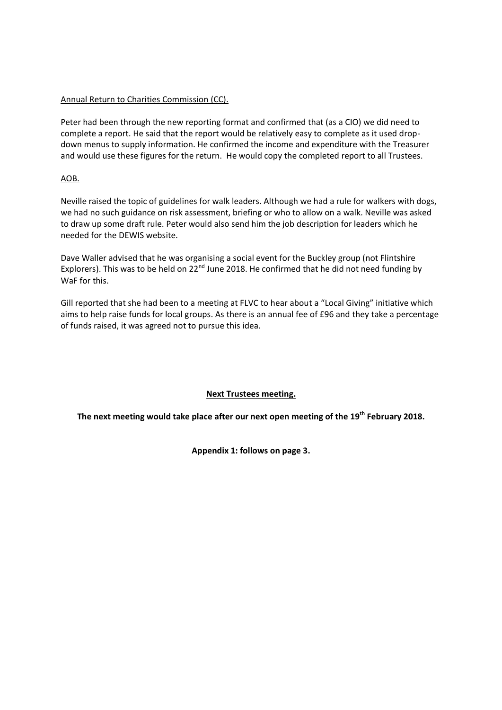# Annual Return to Charities Commission (CC).

Peter had been through the new reporting format and confirmed that (as a CIO) we did need to complete a report. He said that the report would be relatively easy to complete as it used dropdown menus to supply information. He confirmed the income and expenditure with the Treasurer and would use these figures for the return. He would copy the completed report to all Trustees.

# AOB.

Neville raised the topic of guidelines for walk leaders. Although we had a rule for walkers with dogs, we had no such guidance on risk assessment, briefing or who to allow on a walk. Neville was asked to draw up some draft rule. Peter would also send him the job description for leaders which he needed for the DEWIS website.

Dave Waller advised that he was organising a social event for the Buckley group (not Flintshire Explorers). This was to be held on 22<sup>nd</sup> June 2018. He confirmed that he did not need funding by WaF for this.

Gill reported that she had been to a meeting at FLVC to hear about a "Local Giving" initiative which aims to help raise funds for local groups. As there is an annual fee of £96 and they take a percentage of funds raised, it was agreed not to pursue this idea.

# **Next Trustees meeting.**

**The next meeting would take place after our next open meeting of the 19th February 2018.**

**Appendix 1: follows on page 3.**